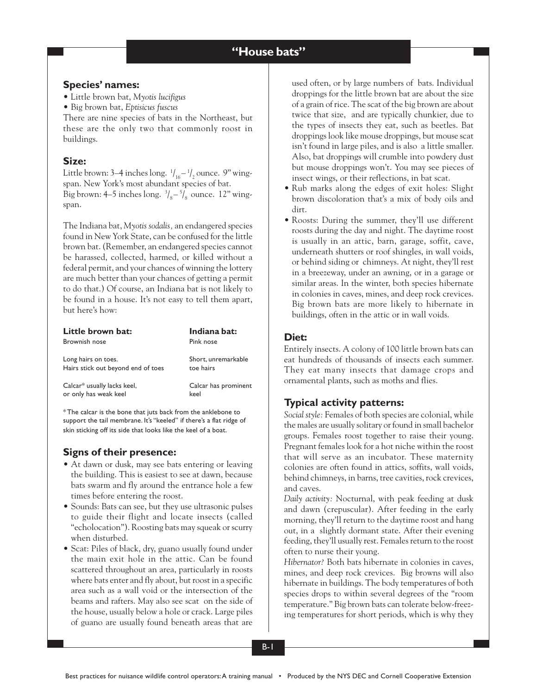## **Species' names:**

- Little brown bat, *Myotis lucifigus*
- Big brown bat, *Eptisicus fuscus*

There are nine species of bats in the Northeast, but these are the only two that commonly roost in buildings.

# **Size:**

Little brown: 3–4 inches long.  $\frac{1}{16} - \frac{1}{2}$  ounce. 9" wingspan. New York's most abundant species of bat. Big brown: 4–5 inches long.  $\frac{3}{8} - \frac{5}{8}$  ounce. 12" wingspan.

The Indiana bat, *Myotis sodalis,* an endangered species found in New York State, can be confused for the little brown bat. (Remember, an endangered species cannot be harassed, collected, harmed, or killed without a federal permit, and your chances of winning the lottery are much better than your chances of getting a permit to do that.) Of course, an Indiana bat is not likely to be found in a house. It's not easy to tell them apart, but here's how:

| Little brown bat:                  | Indiana bat:         |
|------------------------------------|----------------------|
| Brownish nose                      | Pink nose            |
| Long hairs on toes.                | Short, unremarkable  |
| Hairs stick out beyond end of toes | toe hairs            |
| Calcar* usually lacks keel,        | Calcar has prominent |
| or only has weak keel              | keel                 |

\* The calcar is the bone that juts back from the anklebone to support the tail membrane. It's "keeled" if there's a flat ridge of skin sticking off its side that looks like the keel of a boat.

# **Signs of their presence:**

- At dawn or dusk, may see bats entering or leaving the building. This is easiest to see at dawn, because bats swarm and fly around the entrance hole a few times before entering the roost.
- Sounds: Bats can see, but they use ultrasonic pulses to guide their flight and locate insects (called "echolocation"). Roosting bats may squeak or scurry when disturbed.
- Scat: Piles of black, dry, guano usually found under the main exit hole in the attic. Can be found scattered throughout an area, particularly in roosts where bats enter and fly about, but roost in a specific area such as a wall void or the intersection of the beams and rafters. May also see scat on the side of the house, usually below a hole or crack. Large piles of guano are usually found beneath areas that are

used often, or by large numbers of bats. Individual droppings for the little brown bat are about the size of a grain of rice. The scat of the big brown are about twice that size, and are typically chunkier, due to the types of insects they eat, such as beetles. Bat droppings look like mouse droppings, but mouse scat isn't found in large piles, and is also a little smaller. Also, bat droppings will crumble into powdery dust but mouse droppings won't. You may see pieces of insect wings, or their reflections, in bat scat.

- Rub marks along the edges of exit holes: Slight brown discoloration that's a mix of body oils and dirt.
- Roosts: During the summer, they'll use different roosts during the day and night. The daytime roost is usually in an attic, barn, garage, soffit, cave, underneath shutters or roof shingles, in wall voids, or behind siding or chimneys. At night, they'll rest in a breezeway, under an awning, or in a garage or similar areas. In the winter, both species hibernate in colonies in caves, mines, and deep rock crevices. Big brown bats are more likely to hibernate in buildings, often in the attic or in wall voids.

### **Diet:**

Entirely insects. A colony of 100 little brown bats can eat hundreds of thousands of insects each summer. They eat many insects that damage crops and ornamental plants, such as moths and flies.

# **Typical activity patterns:**

*Social style:* Females of both species are colonial, while the males are usually solitary or found in small bachelor groups. Females roost together to raise their young. Pregnant females look for a hot niche within the roost that will serve as an incubator. These maternity colonies are often found in attics, soffits, wall voids, behind chimneys, in barns, tree cavities, rock crevices, and caves.

*Daily activity:* Nocturnal, with peak feeding at dusk and dawn (crepuscular). After feeding in the early morning, they'll return to the daytime roost and hang out, in a slightly dormant state. After their evening feeding, they'll usually rest. Females return to the roost often to nurse their young.

*Hibernator?* Both bats hibernate in colonies in caves, mines, and deep rock crevices. Big browns will also hibernate in buildings. The body temperatures of both species drops to within several degrees of the "room temperature." Big brown bats can tolerate below-freezing temperatures for short periods, which is why they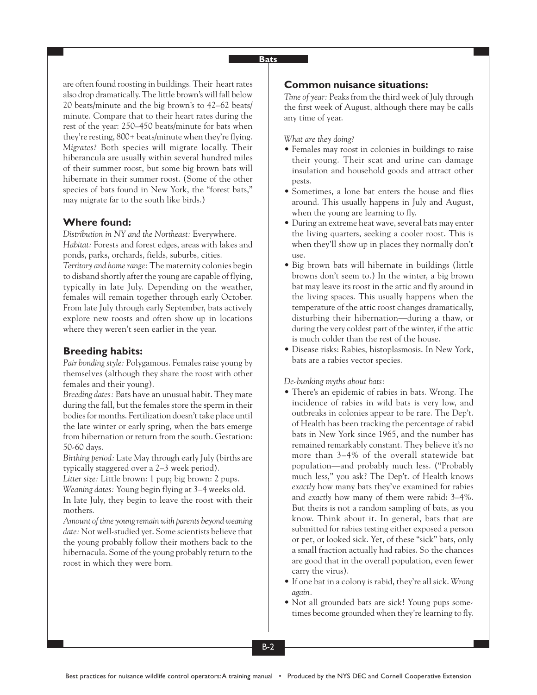are often found roosting in buildings. Their heart rates also drop dramatically. The little brown's will fall below 20 beats/minute and the big brown's to 42–62 beats/ minute. Compare that to their heart rates during the rest of the year: 250–450 beats/minute for bats when they're resting, 800+ beats/minute when they're flying. *Migrates?* Both species will migrate locally. Their hiberancula are usually within several hundred miles of their summer roost, but some big brown bats will hibernate in their summer roost. (Some of the other species of bats found in New York, the "forest bats," may migrate far to the south like birds.)

### **Where found:**

*Distribution in NY and the Northeast:* Everywhere. *Habitat:* Forests and forest edges, areas with lakes and ponds, parks, orchards, fields, suburbs, cities.

*Territory and home range:* The maternity colonies begin to disband shortly after the young are capable of flying, typically in late July. Depending on the weather, females will remain together through early October. From late July through early September, bats actively explore new roosts and often show up in locations where they weren't seen earlier in the year.

#### **Breeding habits:**

*Pair bonding style:* Polygamous. Females raise young by themselves (although they share the roost with other females and their young).

*Breeding dates:* Bats have an unusual habit. They mate during the fall, but the females store the sperm in their bodies for months. Fertilization doesn't take place until the late winter or early spring, when the bats emerge from hibernation or return from the south. Gestation: 50-60 days.

*Birthing period:* Late May through early July (births are typically staggered over a 2–3 week period).

*Litter size:* Little brown: 1 pup; big brown: 2 pups. *Weaning dates:* Young begin flying at 3–4 weeks old. In late July, they begin to leave the roost with their mothers.

*Amount of time young remain with parents beyond weaning date:* Not well-studied yet. Some scientists believe that the young probably follow their mothers back to the hibernacula. Some of the young probably return to the roost in which they were born.

## **Common nuisance situations:**

*Time of year:* Peaks from the third week of July through the first week of August, although there may be calls any time of year.

*What are they doing?*

- Females may roost in colonies in buildings to raise their young. Their scat and urine can damage insulation and household goods and attract other pests.
- Sometimes, a lone bat enters the house and flies around. This usually happens in July and August, when the young are learning to fly.
- During an extreme heat wave, several bats may enter the living quarters, seeking a cooler roost. This is when they'll show up in places they normally don't use.
- Big brown bats will hibernate in buildings (little browns don't seem to.) In the winter, a big brown bat may leave its roost in the attic and fly around in the living spaces. This usually happens when the temperature of the attic roost changes dramatically, disturbing their hibernation—during a thaw, or during the very coldest part of the winter, if the attic is much colder than the rest of the house.
- Disease risks: Rabies, histoplasmosis. In New York, bats are a rabies vector species.

### *De-bunking myths about bats:*

- There's an epidemic of rabies in bats. Wrong. The incidence of rabies in wild bats is very low, and outbreaks in colonies appear to be rare. The Dep't. of Health has been tracking the percentage of rabid bats in New York since 1965, and the number has remained remarkably constant. They believe it's no more than 3–4% of the overall statewide bat population—and probably much less. ("Probably much less," you ask? The Dep't. of Health knows *exactly* how many bats they've examined for rabies and *exactly* how many of them were rabid: 3–4%. But theirs is not a random sampling of bats, as you know. Think about it. In general, bats that are submitted for rabies testing either exposed a person or pet, or looked sick. Yet, of these "sick" bats, only a small fraction actually had rabies. So the chances are good that in the overall population, even fewer carry the virus).
- If one bat in a colony is rabid, they're all sick. *Wrong again.*
- Not all grounded bats are sick! Young pups sometimes become grounded when they're learning to fly.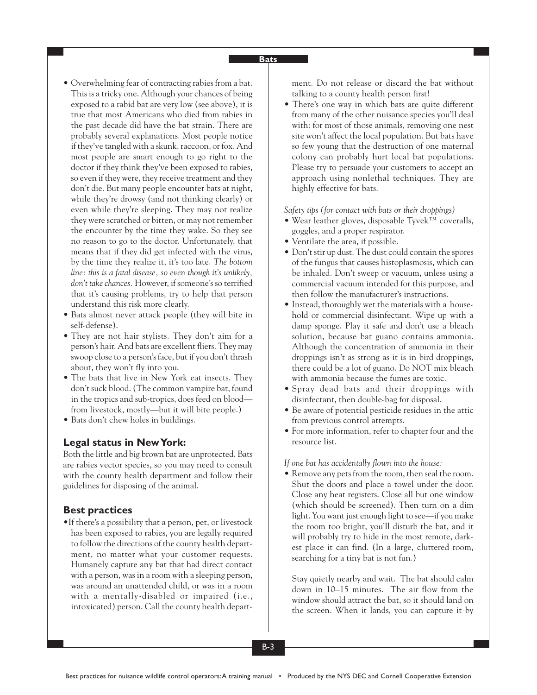- Overwhelming fear of contracting rabies from a bat. This is a tricky one. Although your chances of being exposed to a rabid bat are very low (see above), it is true that most Americans who died from rabies in the past decade did have the bat strain. There are probably several explanations. Most people notice if they've tangled with a skunk, raccoon, or fox. And most people are smart enough to go right to the doctor if they think they've been exposed to rabies, so even if they were, they receive treatment and they don't die. But many people encounter bats at night, while they're drowsy (and not thinking clearly) or even while they're sleeping. They may not realize they were scratched or bitten, or may not remember the encounter by the time they wake. So they see no reason to go to the doctor. Unfortunately, that means that if they did get infected with the virus, by the time they realize it, it's too late. *The bottom line: this is a fatal disease, so even though it's unlikely, don't take chances.* However, if someone's so terrified that it's causing problems, try to help that person understand this risk more clearly.
- Bats almost never attack people (they will bite in self-defense).
- They are not hair stylists. They don't aim for a person's hair. And bats are excellent fliers. They may swoop close to a person's face, but if you don't thrash about, they won't fly into you.
- The bats that live in New York eat insects. They don't suck blood. (The common vampire bat, found in the tropics and sub-tropics, does feed on blood from livestock, mostly—but it will bite people.)
- Bats don't chew holes in buildings.

### **Legal status in New York:**

Both the little and big brown bat are unprotected. Bats are rabies vector species, so you may need to consult with the county health department and follow their guidelines for disposing of the animal.

#### **Best practices**

•If there's a possibility that a person, pet, or livestock has been exposed to rabies, you are legally required to follow the directions of the county health department, no matter what your customer requests. Humanely capture any bat that had direct contact with a person, was in a room with a sleeping person, was around an unattended child, or was in a room with a mentally-disabled or impaired (i.e., intoxicated) person. Call the county health department. Do not release or discard the bat without talking to a county health person first!

• There's one way in which bats are quite different from many of the other nuisance species you'll deal with: for most of those animals, removing one nest site won't affect the local population. But bats have so few young that the destruction of one maternal colony can probably hurt local bat populations. Please try to persuade your customers to accept an approach using nonlethal techniques. They are highly effective for bats.

#### *Safety tips (for contact with bats or their droppings)*

- Wear leather gloves, disposable Tyvek™ coveralls, goggles, and a proper respirator.
- Ventilate the area, if possible.
- Don't stir up dust. The dust could contain the spores of the fungus that causes histoplasmosis, which can be inhaled. Don't sweep or vacuum, unless using a commercial vacuum intended for this purpose, and then follow the manufacturer's instructions.
- Instead, thoroughly wet the materials with a household or commercial disinfectant. Wipe up with a damp sponge. Play it safe and don't use a bleach solution, because bat guano contains ammonia. Although the concentration of ammonia in their droppings isn't as strong as it is in bird droppings, there could be a lot of guano. Do NOT mix bleach with ammonia because the fumes are toxic.
- Spray dead bats and their droppings with disinfectant, then double-bag for disposal.
- Be aware of potential pesticide residues in the attic from previous control attempts.
- For more information, refer to chapter four and the resource list.

### *If one bat has accidentally flown into the house:*

• Remove any pets from the room, then seal the room. Shut the doors and place a towel under the door. Close any heat registers. Close all but one window (which should be screened). Then turn on a dim light. You want just enough light to see—if you make the room too bright, you'll disturb the bat, and it will probably try to hide in the most remote, darkest place it can find. (In a large, cluttered room, searching for a tiny bat is not fun.)

Stay quietly nearby and wait. The bat should calm down in 10–15 minutes. The air flow from the window should attract the bat, so it should land on the screen. When it lands, you can capture it by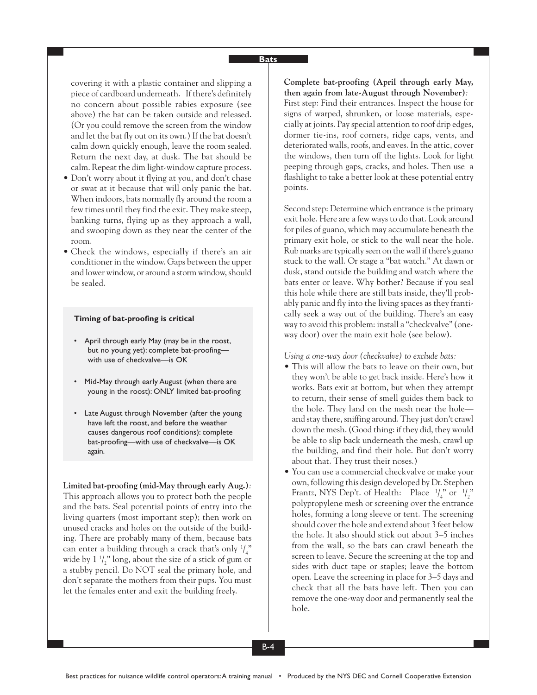covering it with a plastic container and slipping a piece of cardboard underneath. If there's definitely no concern about possible rabies exposure (see above) the bat can be taken outside and released. (Or you could remove the screen from the window and let the bat fly out on its own.) If the bat doesn't calm down quickly enough, leave the room sealed. Return the next day, at dusk. The bat should be calm. Repeat the dim light-window capture process.

- Don't worry about it flying at you, and don't chase or swat at it because that will only panic the bat. When indoors, bats normally fly around the room a few times until they find the exit. They make steep, banking turns, flying up as they approach a wall, and swooping down as they near the center of the room.
- Check the windows, especially if there's an air conditioner in the window. Gaps between the upper and lower window, or around a storm window, should be sealed.

#### **Timing of bat-proofing is critical**

- April through early May (may be in the roost, but no young yet): complete bat-proofing with use of checkvalve—is OK
- Mid-May through early August (when there are young in the roost): ONLY limited bat-proofing
- Late August through November (after the young have left the roost, and before the weather causes dangerous roof conditions): complete bat-proofing—with use of checkvalve—is OK again.

#### **Limited bat-proofing (mid-May through early Aug.)***:*

This approach allows you to protect both the people and the bats. Seal potential points of entry into the living quarters (most important step); then work on unused cracks and holes on the outside of the building. There are probably many of them, because bats can enter a building through a crack that's only  $\frac{1}{4}$ " wide by  $1 \frac{1}{2}$ " long, about the size of a stick of gum or a stubby pencil. Do NOT seal the primary hole, and don't separate the mothers from their pups. You must let the females enter and exit the building freely.

**Complete bat-proofing (April through early May, then again from late-August through November)***:* First step: Find their entrances. Inspect the house for signs of warped, shrunken, or loose materials, especially at joints. Pay special attention to roof drip edges, dormer tie-ins, roof corners, ridge caps, vents, and deteriorated walls, roofs, and eaves. In the attic, cover the windows, then turn off the lights. Look for light peeping through gaps, cracks, and holes. Then use a flashlight to take a better look at these potential entry points.

Second step: Determine which entrance is the primary exit hole. Here are a few ways to do that. Look around for piles of guano, which may accumulate beneath the primary exit hole, or stick to the wall near the hole. Rub marks are typically seen on the wall if there's guano stuck to the wall. Or stage a "bat watch." At dawn or dusk, stand outside the building and watch where the bats enter or leave. Why bother? Because if you seal this hole while there are still bats inside, they'll probably panic and fly into the living spaces as they frantically seek a way out of the building. There's an easy way to avoid this problem: install a "checkvalve" (oneway door) over the main exit hole (see below).

*Using a one-way door (checkvalve) to exclude bats:*

- This will allow the bats to leave on their own, but they won't be able to get back inside. Here's how it works. Bats exit at bottom, but when they attempt to return, their sense of smell guides them back to the hole. They land on the mesh near the hole and stay there, sniffing around. They just don't crawl down the mesh. (Good thing: if they did, they would be able to slip back underneath the mesh, crawl up the building, and find their hole. But don't worry about that. They trust their noses.)
- You can use a commercial checkvalve or make your own, following this design developed by Dr. Stephen Frantz, NYS Dep't. of Health: Place  $\frac{1}{4}$ " or  $\frac{1}{2}$ " polypropylene mesh or screening over the entrance holes, forming a long sleeve or tent. The screening should cover the hole and extend about 3 feet below the hole. It also should stick out about 3–5 inches from the wall, so the bats can crawl beneath the screen to leave. Secure the screening at the top and sides with duct tape or staples; leave the bottom open. Leave the screening in place for 3–5 days and check that all the bats have left. Then you can remove the one-way door and permanently seal the hole.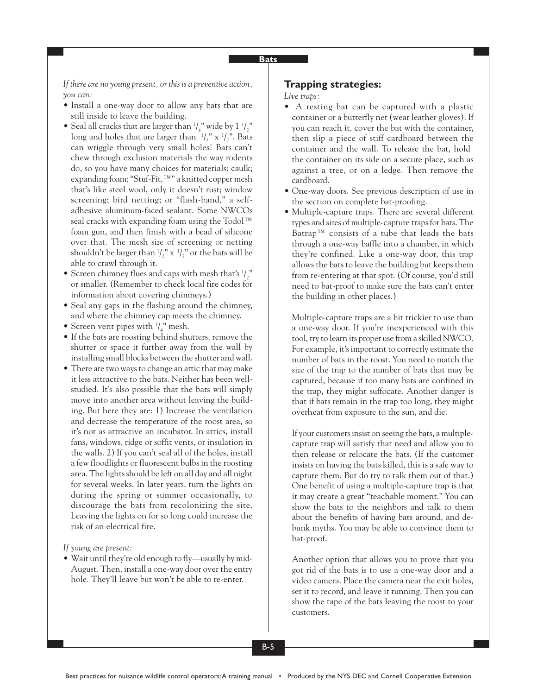*If there are no young present, or this is a preventive action, you can:*

- Install a one-way door to allow any bats that are still inside to leave the building.
- Seal all cracks that are larger than  $\frac{1}{4}$ ," wide by  $1 \frac{1}{2}$ " long and holes that are larger than  $\frac{1}{2}$ " x  $\frac{1}{2}$ ". Bats can wriggle through very small holes! Bats can't chew through exclusion materials the way rodents do, so you have many choices for materials: caulk; expanding foam; "Stuf-Fit,™" a knitted copper mesh that's like steel wool, only it doesn't rust; window screening; bird netting; or "flash-band," a selfadhesive aluminum-faced sealant. Some NWCOs seal cracks with expanding foam using the Todol™ foam gun, and then finish with a bead of silicone over that. The mesh size of screening or netting shouldn't be larger than  $\frac{1}{2}$ " x  $\frac{1}{2}$ " or the bats will be able to crawl through it.
- Screen chimney flues and caps with mesh that's  $\frac{1}{2}$ " or smaller. (Remember to check local fire codes for information about covering chimneys.)
- Seal any gaps in the flashing around the chimney, and where the chimney cap meets the chimney.
- Screen vent pipes with  $\frac{1}{4}$ <sup>n</sup> mesh.
- If the bats are roosting behind shutters, remove the shutter or space it further away from the wall by installing small blocks between the shutter and wall.
- There are two ways to change an attic that may make it less attractive to the bats. Neither has been wellstudied. It's also possible that the bats will simply move into another area without leaving the building. But here they are: 1) Increase the ventilation and decrease the temperature of the roost area, so it's not as attractive an incubator. In attics, install fans, windows, ridge or soffit vents, or insulation in the walls. 2) If you can't seal all of the holes, install a few floodlights or fluorescent bulbs in the roosting area. The lights should be left on all day and all night for several weeks. In later years, turn the lights on during the spring or summer occasionally, to discourage the bats from recolonizing the site. Leaving the lights on for so long could increase the risk of an electrical fire.

#### *If young are present:*

• Wait until they're old enough to fly—usually by mid-August. Then, install a one-way door over the entry hole. They'll leave but won't be able to re-enter.

## **Trapping strategies:**

*Live traps:*

- A resting bat can be captured with a plastic container or a butterfly net (wear leather gloves). If you can reach it, cover the bat with the container, then slip a piece of stiff cardboard between the container and the wall. To release the bat, hold the container on its side on a secure place, such as against a tree, or on a ledge. Then remove the cardboard.
- One-way doors. See previous description of use in the section on complete bat-proofing.
- Multiple-capture traps. There are several different types and sizes of multiple-capture traps for bats. The Batrap™ consists of a tube that leads the bats through a one-way baffle into a chamber, in which they're confined. Like a one-way door, this trap allows the bats to leave the building but keeps them from re-entering at that spot. (Of course, you'd still need to bat-proof to make sure the bats can't enter the building in other places.)

Multiple-capture traps are a bit trickier to use than a one-way door. If you're inexperienced with this tool, try to learn its proper use from a skilled NWCO. For example, it's important to correctly estimate the number of bats in the roost. You need to match the size of the trap to the number of bats that may be captured, because if too many bats are confined in the trap, they might suffocate. Another danger is that if bats remain in the trap too long, they might overheat from exposure to the sun, and die.

If your customers insist on seeing the bats, a multiplecapture trap will satisfy that need and allow you to then release or relocate the bats. (If the customer insists on having the bats killed, this is a safe way to capture them. But do try to talk them out of that.) One benefit of using a multiple-capture trap is that it may create a great "teachable moment." You can show the bats to the neighbors and talk to them about the benefits of having bats around, and debunk myths. You may be able to convince them to bat-proof.

Another option that allows you to prove that you got rid of the bats is to use a one-way door and a video camera. Place the camera near the exit holes, set it to record, and leave it running. Then you can show the tape of the bats leaving the roost to your customers.